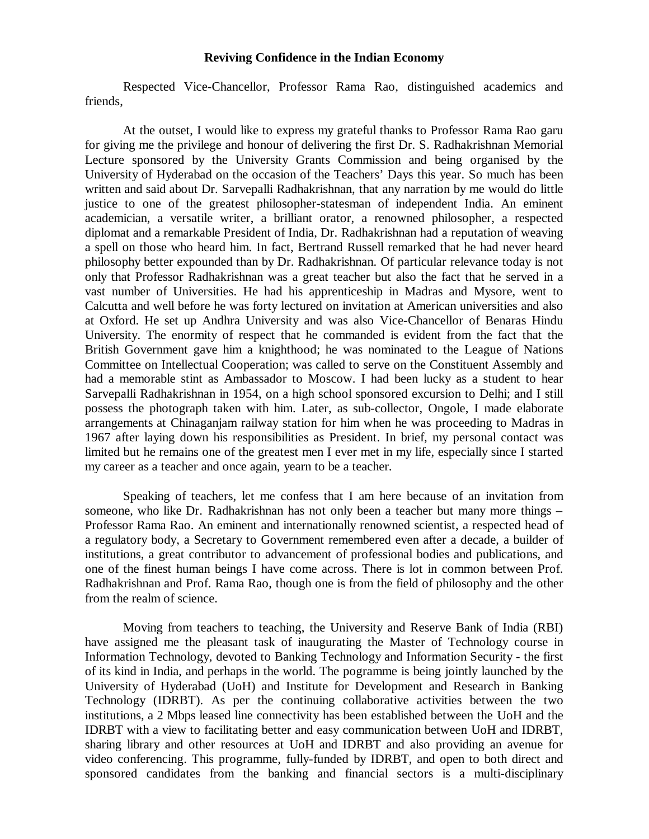## **Reviving Confidence in the Indian Economy**

Respected Vice-Chancellor, Professor Rama Rao, distinguished academics and friends,

At the outset, I would like to express my grateful thanks to Professor Rama Rao garu for giving me the privilege and honour of delivering the first Dr. S. Radhakrishnan Memorial Lecture sponsored by the University Grants Commission and being organised by the University of Hyderabad on the occasion of the Teachers' Days this year. So much has been written and said about Dr. Sarvepalli Radhakrishnan, that any narration by me would do little justice to one of the greatest philosopher-statesman of independent India. An eminent academician, a versatile writer, a brilliant orator, a renowned philosopher, a respected diplomat and a remarkable President of India, Dr. Radhakrishnan had a reputation of weaving a spell on those who heard him. In fact, Bertrand Russell remarked that he had never heard philosophy better expounded than by Dr. Radhakrishnan. Of particular relevance today is not only that Professor Radhakrishnan was a great teacher but also the fact that he served in a vast number of Universities. He had his apprenticeship in Madras and Mysore, went to Calcutta and well before he was forty lectured on invitation at American universities and also at Oxford. He set up Andhra University and was also Vice-Chancellor of Benaras Hindu University. The enormity of respect that he commanded is evident from the fact that the British Government gave him a knighthood; he was nominated to the League of Nations Committee on Intellectual Cooperation; was called to serve on the Constituent Assembly and had a memorable stint as Ambassador to Moscow. I had been lucky as a student to hear Sarvepalli Radhakrishnan in 1954, on a high school sponsored excursion to Delhi; and I still possess the photograph taken with him. Later, as sub-collector, Ongole, I made elaborate arrangements at Chinaganjam railway station for him when he was proceeding to Madras in 1967 after laying down his responsibilities as President. In brief, my personal contact was limited but he remains one of the greatest men I ever met in my life, especially since I started my career as a teacher and once again, yearn to be a teacher.

Speaking of teachers, let me confess that I am here because of an invitation from someone, who like Dr. Radhakrishnan has not only been a teacher but many more things – Professor Rama Rao. An eminent and internationally renowned scientist, a respected head of a regulatory body, a Secretary to Government remembered even after a decade, a builder of institutions, a great contributor to advancement of professional bodies and publications, and one of the finest human beings I have come across. There is lot in common between Prof. Radhakrishnan and Prof. Rama Rao, though one is from the field of philosophy and the other from the realm of science.

Moving from teachers to teaching, the University and Reserve Bank of India (RBI) have assigned me the pleasant task of inaugurating the Master of Technology course in Information Technology, devoted to Banking Technology and Information Security - the first of its kind in India, and perhaps in the world. The pogramme is being jointly launched by the University of Hyderabad (UoH) and Institute for Development and Research in Banking Technology (IDRBT). As per the continuing collaborative activities between the two institutions, a 2 Mbps leased line connectivity has been established between the UoH and the IDRBT with a view to facilitating better and easy communication between UoH and IDRBT, sharing library and other resources at UoH and IDRBT and also providing an avenue for video conferencing. This programme, fully-funded by IDRBT, and open to both direct and sponsored candidates from the banking and financial sectors is a multi-disciplinary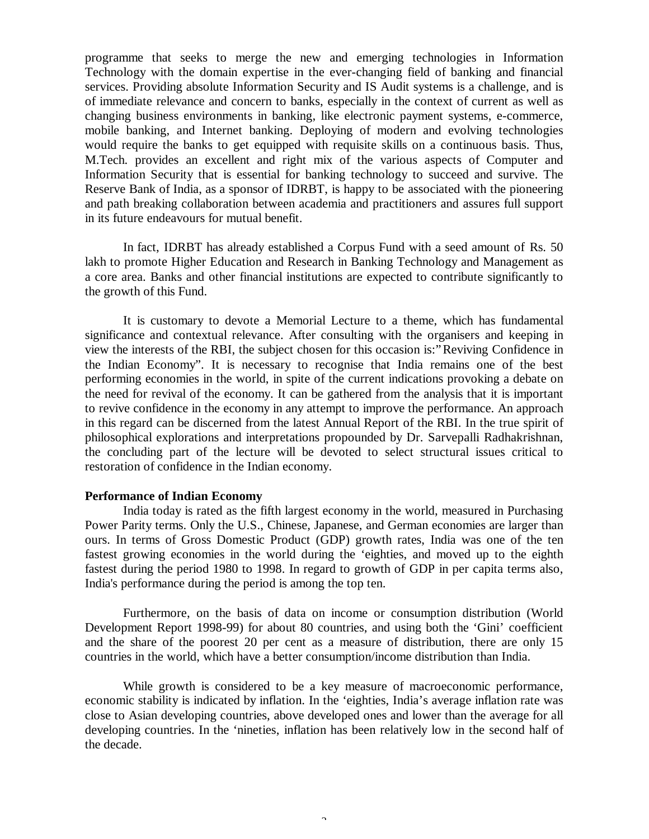programme that seeks to merge the new and emerging technologies in Information Technology with the domain expertise in the ever-changing field of banking and financial services. Providing absolute Information Security and IS Audit systems is a challenge, and is of immediate relevance and concern to banks, especially in the context of current as well as changing business environments in banking, like electronic payment systems, e-commerce, mobile banking, and Internet banking. Deploying of modern and evolving technologies would require the banks to get equipped with requisite skills on a continuous basis. Thus, M.Tech. provides an excellent and right mix of the various aspects of Computer and Information Security that is essential for banking technology to succeed and survive. The Reserve Bank of India, as a sponsor of IDRBT, is happy to be associated with the pioneering and path breaking collaboration between academia and practitioners and assures full support in its future endeavours for mutual benefit.

In fact, IDRBT has already established a Corpus Fund with a seed amount of Rs. 50 lakh to promote Higher Education and Research in Banking Technology and Management as a core area. Banks and other financial institutions are expected to contribute significantly to the growth of this Fund.

It is customary to devote a Memorial Lecture to a theme, which has fundamental significance and contextual relevance. After consulting with the organisers and keeping in view the interests of the RBI, the subject chosen for this occasion is:"Reviving Confidence in the Indian Economy". It is necessary to recognise that India remains one of the best performing economies in the world, in spite of the current indications provoking a debate on the need for revival of the economy. It can be gathered from the analysis that it is important to revive confidence in the economy in any attempt to improve the performance. An approach in this regard can be discerned from the latest Annual Report of the RBI. In the true spirit of philosophical explorations and interpretations propounded by Dr. Sarvepalli Radhakrishnan, the concluding part of the lecture will be devoted to select structural issues critical to restoration of confidence in the Indian economy.

#### **Performance of Indian Economy**

India today is rated as the fifth largest economy in the world, measured in Purchasing Power Parity terms. Only the U.S., Chinese, Japanese, and German economies are larger than ours. In terms of Gross Domestic Product (GDP) growth rates, India was one of the ten fastest growing economies in the world during the 'eighties, and moved up to the eighth fastest during the period 1980 to 1998. In regard to growth of GDP in per capita terms also, India's performance during the period is among the top ten.

Furthermore, on the basis of data on income or consumption distribution (World Development Report 1998-99) for about 80 countries, and using both the 'Gini' coefficient and the share of the poorest 20 per cent as a measure of distribution, there are only 15 countries in the world, which have a better consumption/income distribution than India.

While growth is considered to be a key measure of macroeconomic performance, economic stability is indicated by inflation. In the 'eighties, India's average inflation rate was close to Asian developing countries, above developed ones and lower than the average for all developing countries. In the 'nineties, inflation has been relatively low in the second half of the decade.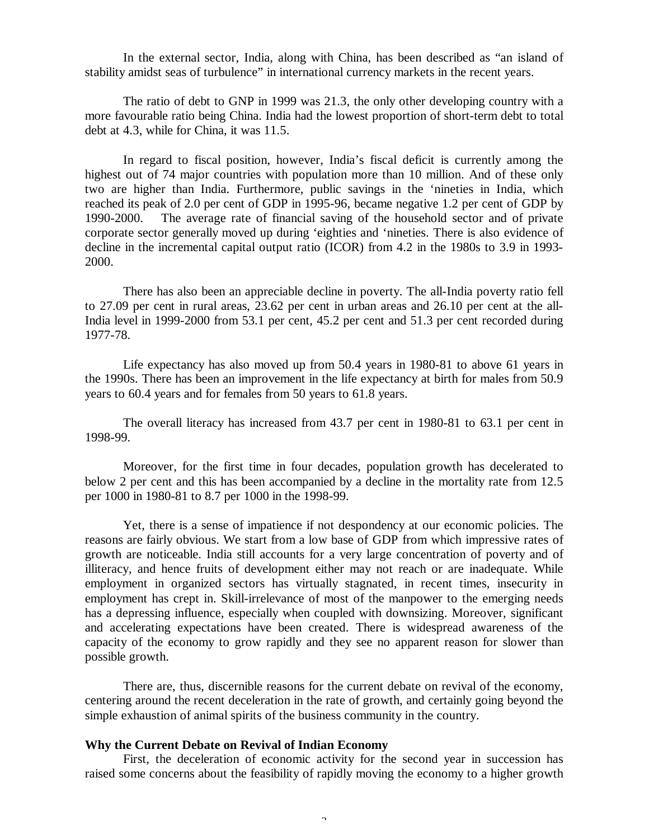In the external sector, India, along with China, has been described as "an island of stability amidst seas of turbulence" in international currency markets in the recent years.

The ratio of debt to GNP in 1999 was 21.3, the only other developing country with a more favourable ratio being China. India had the lowest proportion of short-term debt to total debt at 4.3, while for China, it was 11.5.

In regard to fiscal position, however, India's fiscal deficit is currently among the highest out of 74 major countries with population more than 10 million. And of these only two are higher than India. Furthermore, public savings in the 'nineties in India, which reached its peak of 2.0 per cent of GDP in 1995-96, became negative 1.2 per cent of GDP by 1990-2000. The average rate of financial saving of the household sector and of private corporate sector generally moved up during 'eighties and 'nineties. There is also evidence of decline in the incremental capital output ratio (ICOR) from 4.2 in the 1980s to 3.9 in 1993- 2000.

There has also been an appreciable decline in poverty. The all-India poverty ratio fell to 27.09 per cent in rural areas, 23.62 per cent in urban areas and 26.10 per cent at the all-India level in 1999-2000 from 53.1 per cent, 45.2 per cent and 51.3 per cent recorded during 1977-78.

Life expectancy has also moved up from 50.4 years in 1980-81 to above 61 years in the 1990s. There has been an improvement in the life expectancy at birth for males from 50.9 years to 60.4 years and for females from 50 years to 61.8 years.

The overall literacy has increased from 43.7 per cent in 1980-81 to 63.1 per cent in 1998-99.

Moreover, for the first time in four decades, population growth has decelerated to below 2 per cent and this has been accompanied by a decline in the mortality rate from 12.5 per 1000 in 1980-81 to 8.7 per 1000 in the 1998-99.

Yet, there is a sense of impatience if not despondency at our economic policies. The reasons are fairly obvious. We start from a low base of GDP from which impressive rates of growth are noticeable. India still accounts for a very large concentration of poverty and of illiteracy, and hence fruits of development either may not reach or are inadequate. While employment in organized sectors has virtually stagnated, in recent times, insecurity in employment has crept in. Skill-irrelevance of most of the manpower to the emerging needs has a depressing influence, especially when coupled with downsizing. Moreover, significant and accelerating expectations have been created. There is widespread awareness of the capacity of the economy to grow rapidly and they see no apparent reason for slower than possible growth.

There are, thus, discernible reasons for the current debate on revival of the economy, centering around the recent deceleration in the rate of growth, and certainly going beyond the simple exhaustion of animal spirits of the business community in the country.

### **Why the Current Debate on Revival of Indian Economy**

First, the deceleration of economic activity for the second year in succession has raised some concerns about the feasibility of rapidly moving the economy to a higher growth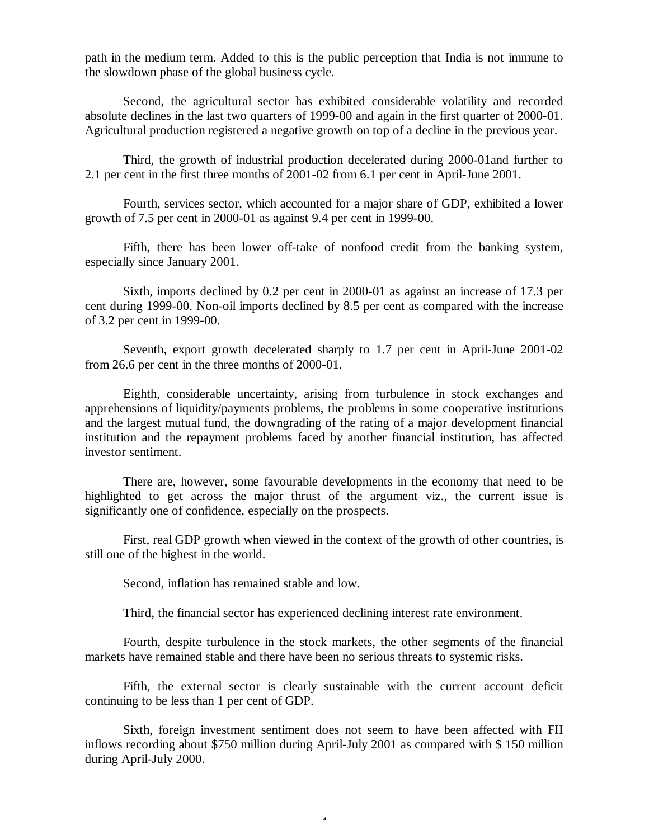path in the medium term. Added to this is the public perception that India is not immune to the slowdown phase of the global business cycle.

Second, the agricultural sector has exhibited considerable volatility and recorded absolute declines in the last two quarters of 1999-00 and again in the first quarter of 2000-01. Agricultural production registered a negative growth on top of a decline in the previous year.

Third, the growth of industrial production decelerated during 2000-01and further to 2.1 per cent in the first three months of 2001-02 from 6.1 per cent in April-June 2001.

Fourth, services sector, which accounted for a major share of GDP, exhibited a lower growth of 7.5 per cent in 2000-01 as against 9.4 per cent in 1999-00.

Fifth, there has been lower off-take of nonfood credit from the banking system, especially since January 2001.

Sixth, imports declined by 0.2 per cent in 2000-01 as against an increase of 17.3 per cent during 1999-00. Non-oil imports declined by 8.5 per cent as compared with the increase of 3.2 per cent in 1999-00.

Seventh, export growth decelerated sharply to 1.7 per cent in April-June 2001-02 from 26.6 per cent in the three months of 2000-01.

Eighth, considerable uncertainty, arising from turbulence in stock exchanges and apprehensions of liquidity/payments problems, the problems in some cooperative institutions and the largest mutual fund, the downgrading of the rating of a major development financial institution and the repayment problems faced by another financial institution, has affected investor sentiment.

There are, however, some favourable developments in the economy that need to be highlighted to get across the major thrust of the argument viz., the current issue is significantly one of confidence, especially on the prospects.

First, real GDP growth when viewed in the context of the growth of other countries, is still one of the highest in the world.

Second, inflation has remained stable and low.

Third, the financial sector has experienced declining interest rate environment.

Fourth, despite turbulence in the stock markets, the other segments of the financial markets have remained stable and there have been no serious threats to systemic risks.

Fifth, the external sector is clearly sustainable with the current account deficit continuing to be less than 1 per cent of GDP.

Sixth, foreign investment sentiment does not seem to have been affected with FII inflows recording about \$750 million during April-July 2001 as compared with \$ 150 million during April-July 2000.

4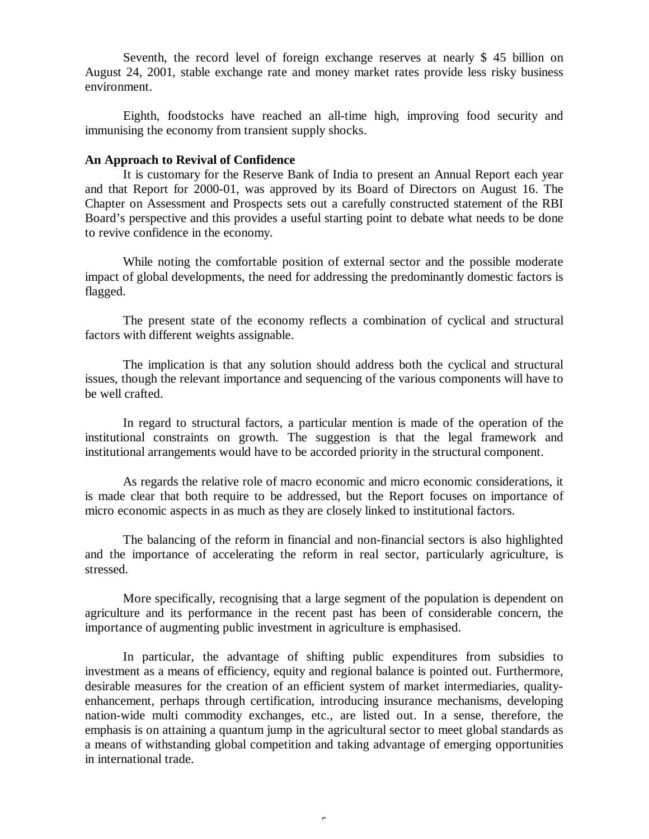Seventh, the record level of foreign exchange reserves at nearly \$ 45 billion on August 24, 2001, stable exchange rate and money market rates provide less risky business environment.

Eighth, foodstocks have reached an all-time high, improving food security and immunising the economy from transient supply shocks.

## **An Approach to Revival of Confidence**

It is customary for the Reserve Bank of India to present an Annual Report each year and that Report for 2000-01, was approved by its Board of Directors on August 16. The Chapter on Assessment and Prospects sets out a carefully constructed statement of the RBI Board's perspective and this provides a useful starting point to debate what needs to be done to revive confidence in the economy.

While noting the comfortable position of external sector and the possible moderate impact of global developments, the need for addressing the predominantly domestic factors is flagged.

The present state of the economy reflects a combination of cyclical and structural factors with different weights assignable.

The implication is that any solution should address both the cyclical and structural issues, though the relevant importance and sequencing of the various components will have to be well crafted.

In regard to structural factors, a particular mention is made of the operation of the institutional constraints on growth. The suggestion is that the legal framework and institutional arrangements would have to be accorded priority in the structural component.

As regards the relative role of macro economic and micro economic considerations, it is made clear that both require to be addressed, but the Report focuses on importance of micro economic aspects in as much as they are closely linked to institutional factors.

The balancing of the reform in financial and non-financial sectors is also highlighted and the importance of accelerating the reform in real sector, particularly agriculture, is stressed.

More specifically, recognising that a large segment of the population is dependent on agriculture and its performance in the recent past has been of considerable concern, the importance of augmenting public investment in agriculture is emphasised.

In particular, the advantage of shifting public expenditures from subsidies to investment as a means of efficiency, equity and regional balance is pointed out. Furthermore, desirable measures for the creation of an efficient system of market intermediaries, qualityenhancement, perhaps through certification, introducing insurance mechanisms, developing nation-wide multi commodity exchanges, etc., are listed out. In a sense, therefore, the emphasis is on attaining a quantum jump in the agricultural sector to meet global standards as a means of withstanding global competition and taking advantage of emerging opportunities in international trade.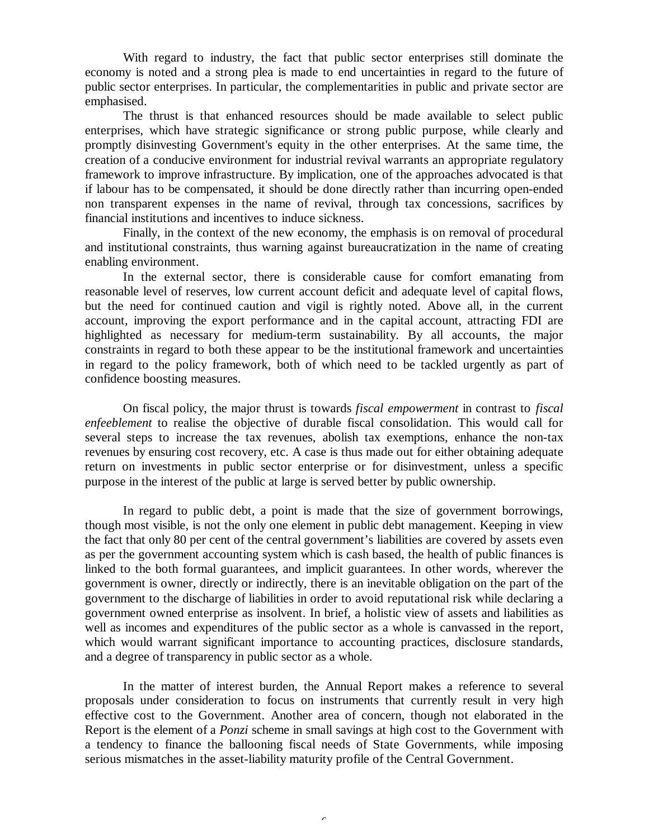With regard to industry, the fact that public sector enterprises still dominate the economy is noted and a strong plea is made to end uncertainties in regard to the future of public sector enterprises. In particular, the complementarities in public and private sector are emphasised.

The thrust is that enhanced resources should be made available to select public enterprises, which have strategic significance or strong public purpose, while clearly and promptly disinvesting Government's equity in the other enterprises. At the same time, the creation of a conducive environment for industrial revival warrants an appropriate regulatory framework to improve infrastructure. By implication, one of the approaches advocated is that if labour has to be compensated, it should be done directly rather than incurring open-ended non transparent expenses in the name of revival, through tax concessions, sacrifices by financial institutions and incentives to induce sickness.

Finally, in the context of the new economy, the emphasis is on removal of procedural and institutional constraints, thus warning against bureaucratization in the name of creating enabling environment.

In the external sector, there is considerable cause for comfort emanating from reasonable level of reserves, low current account deficit and adequate level of capital flows, but the need for continued caution and vigil is rightly noted. Above all, in the current account, improving the export performance and in the capital account, attracting FDI are highlighted as necessary for medium-term sustainability. By all accounts, the major constraints in regard to both these appear to be the institutional framework and uncertainties in regard to the policy framework, both of which need to be tackled urgently as part of confidence boosting measures.

On fiscal policy, the major thrust is towards *fiscal empowerment* in contrast to *fiscal enfeeblement* to realise the objective of durable fiscal consolidation. This would call for several steps to increase the tax revenues, abolish tax exemptions, enhance the non-tax revenues by ensuring cost recovery, etc. A case is thus made out for either obtaining adequate return on investments in public sector enterprise or for disinvestment, unless a specific purpose in the interest of the public at large is served better by public ownership.

In regard to public debt, a point is made that the size of government borrowings, though most visible, is not the only one element in public debt management. Keeping in view the fact that only 80 per cent of the central government's liabilities are covered by assets even as per the government accounting system which is cash based, the health of public finances is linked to the both formal guarantees, and implicit guarantees. In other words, wherever the government is owner, directly or indirectly, there is an inevitable obligation on the part of the government to the discharge of liabilities in order to avoid reputational risk while declaring a government owned enterprise as insolvent. In brief, a holistic view of assets and liabilities as well as incomes and expenditures of the public sector as a whole is canvassed in the report, which would warrant significant importance to accounting practices, disclosure standards, and a degree of transparency in public sector as a whole.

In the matter of interest burden, the Annual Report makes a reference to several proposals under consideration to focus on instruments that currently result in very high effective cost to the Government. Another area of concern, though not elaborated in the Report is the element of a *Ponzi* scheme in small savings at high cost to the Government with a tendency to finance the ballooning fiscal needs of State Governments, while imposing serious mismatches in the asset-liability maturity profile of the Central Government.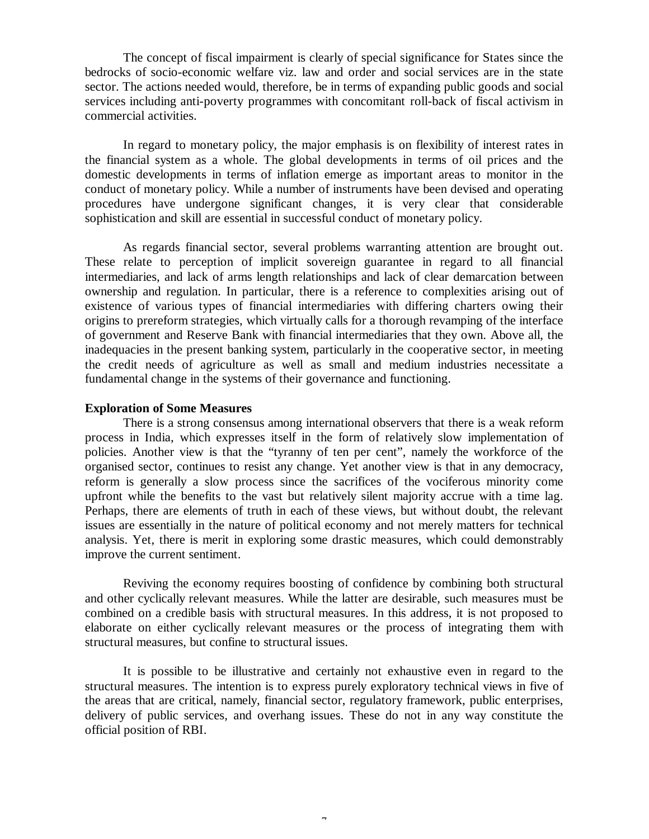The concept of fiscal impairment is clearly of special significance for States since the bedrocks of socio-economic welfare viz. law and order and social services are in the state sector. The actions needed would, therefore, be in terms of expanding public goods and social services including anti-poverty programmes with concomitant roll-back of fiscal activism in commercial activities.

In regard to monetary policy, the major emphasis is on flexibility of interest rates in the financial system as a whole. The global developments in terms of oil prices and the domestic developments in terms of inflation emerge as important areas to monitor in the conduct of monetary policy. While a number of instruments have been devised and operating procedures have undergone significant changes, it is very clear that considerable sophistication and skill are essential in successful conduct of monetary policy.

As regards financial sector, several problems warranting attention are brought out. These relate to perception of implicit sovereign guarantee in regard to all financial intermediaries, and lack of arms length relationships and lack of clear demarcation between ownership and regulation. In particular, there is a reference to complexities arising out of existence of various types of financial intermediaries with differing charters owing their origins to prereform strategies, which virtually calls for a thorough revamping of the interface of government and Reserve Bank with financial intermediaries that they own. Above all, the inadequacies in the present banking system, particularly in the cooperative sector, in meeting the credit needs of agriculture as well as small and medium industries necessitate a fundamental change in the systems of their governance and functioning.

# **Exploration of Some Measures**

There is a strong consensus among international observers that there is a weak reform process in India, which expresses itself in the form of relatively slow implementation of policies. Another view is that the "tyranny of ten per cent", namely the workforce of the organised sector, continues to resist any change. Yet another view is that in any democracy, reform is generally a slow process since the sacrifices of the vociferous minority come upfront while the benefits to the vast but relatively silent majority accrue with a time lag. Perhaps, there are elements of truth in each of these views, but without doubt, the relevant issues are essentially in the nature of political economy and not merely matters for technical analysis. Yet, there is merit in exploring some drastic measures, which could demonstrably improve the current sentiment.

Reviving the economy requires boosting of confidence by combining both structural and other cyclically relevant measures. While the latter are desirable, such measures must be combined on a credible basis with structural measures. In this address, it is not proposed to elaborate on either cyclically relevant measures or the process of integrating them with structural measures, but confine to structural issues.

It is possible to be illustrative and certainly not exhaustive even in regard to the structural measures. The intention is to express purely exploratory technical views in five of the areas that are critical, namely, financial sector, regulatory framework, public enterprises, delivery of public services, and overhang issues. These do not in any way constitute the official position of RBI.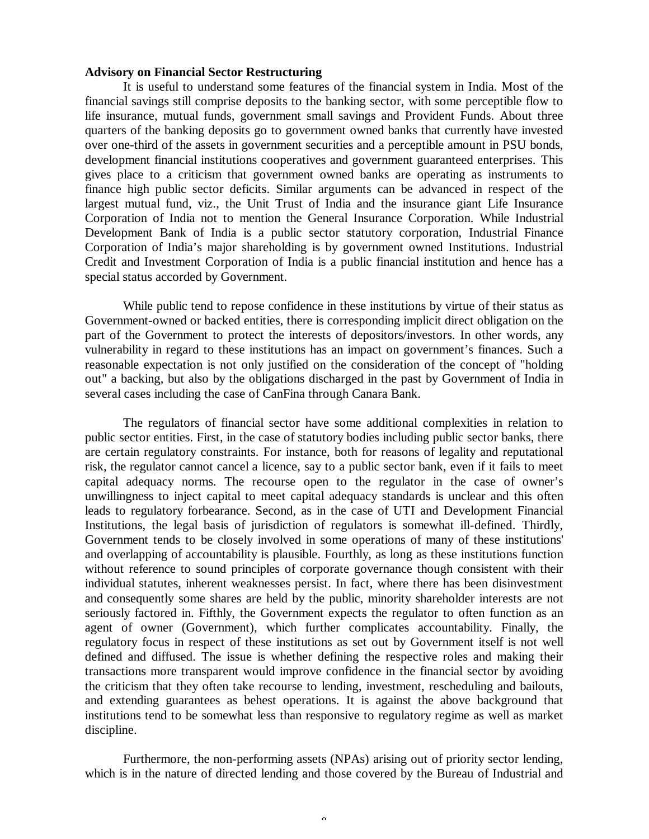# **Advisory on Financial Sector Restructuring**

It is useful to understand some features of the financial system in India. Most of the financial savings still comprise deposits to the banking sector, with some perceptible flow to life insurance, mutual funds, government small savings and Provident Funds. About three quarters of the banking deposits go to government owned banks that currently have invested over one-third of the assets in government securities and a perceptible amount in PSU bonds, development financial institutions cooperatives and government guaranteed enterprises. This gives place to a criticism that government owned banks are operating as instruments to finance high public sector deficits. Similar arguments can be advanced in respect of the largest mutual fund, viz., the Unit Trust of India and the insurance giant Life Insurance Corporation of India not to mention the General Insurance Corporation. While Industrial Development Bank of India is a public sector statutory corporation, Industrial Finance Corporation of India's major shareholding is by government owned Institutions. Industrial Credit and Investment Corporation of India is a public financial institution and hence has a special status accorded by Government.

While public tend to repose confidence in these institutions by virtue of their status as Government-owned or backed entities, there is corresponding implicit direct obligation on the part of the Government to protect the interests of depositors/investors. In other words, any vulnerability in regard to these institutions has an impact on government's finances. Such a reasonable expectation is not only justified on the consideration of the concept of "holding out" a backing, but also by the obligations discharged in the past by Government of India in several cases including the case of CanFina through Canara Bank.

The regulators of financial sector have some additional complexities in relation to public sector entities. First, in the case of statutory bodies including public sector banks, there are certain regulatory constraints. For instance, both for reasons of legality and reputational risk, the regulator cannot cancel a licence, say to a public sector bank, even if it fails to meet capital adequacy norms. The recourse open to the regulator in the case of owner's unwillingness to inject capital to meet capital adequacy standards is unclear and this often leads to regulatory forbearance. Second, as in the case of UTI and Development Financial Institutions, the legal basis of jurisdiction of regulators is somewhat ill-defined. Thirdly, Government tends to be closely involved in some operations of many of these institutions' and overlapping of accountability is plausible. Fourthly, as long as these institutions function without reference to sound principles of corporate governance though consistent with their individual statutes, inherent weaknesses persist. In fact, where there has been disinvestment and consequently some shares are held by the public, minority shareholder interests are not seriously factored in. Fifthly, the Government expects the regulator to often function as an agent of owner (Government), which further complicates accountability. Finally, the regulatory focus in respect of these institutions as set out by Government itself is not well defined and diffused. The issue is whether defining the respective roles and making their transactions more transparent would improve confidence in the financial sector by avoiding the criticism that they often take recourse to lending, investment, rescheduling and bailouts, and extending guarantees as behest operations. It is against the above background that institutions tend to be somewhat less than responsive to regulatory regime as well as market discipline.

Furthermore, the non-performing assets (NPAs) arising out of priority sector lending, which is in the nature of directed lending and those covered by the Bureau of Industrial and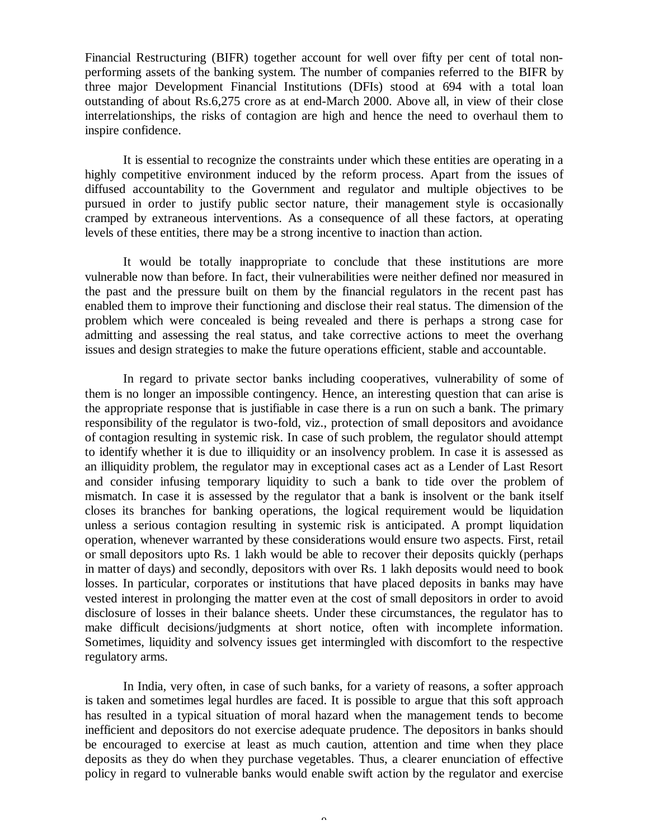Financial Restructuring (BIFR) together account for well over fifty per cent of total nonperforming assets of the banking system. The number of companies referred to the BIFR by three major Development Financial Institutions (DFIs) stood at 694 with a total loan outstanding of about Rs.6,275 crore as at end-March 2000. Above all, in view of their close interrelationships, the risks of contagion are high and hence the need to overhaul them to inspire confidence.

It is essential to recognize the constraints under which these entities are operating in a highly competitive environment induced by the reform process. Apart from the issues of diffused accountability to the Government and regulator and multiple objectives to be pursued in order to justify public sector nature, their management style is occasionally cramped by extraneous interventions. As a consequence of all these factors, at operating levels of these entities, there may be a strong incentive to inaction than action.

It would be totally inappropriate to conclude that these institutions are more vulnerable now than before. In fact, their vulnerabilities were neither defined nor measured in the past and the pressure built on them by the financial regulators in the recent past has enabled them to improve their functioning and disclose their real status. The dimension of the problem which were concealed is being revealed and there is perhaps a strong case for admitting and assessing the real status, and take corrective actions to meet the overhang issues and design strategies to make the future operations efficient, stable and accountable.

In regard to private sector banks including cooperatives, vulnerability of some of them is no longer an impossible contingency. Hence, an interesting question that can arise is the appropriate response that is justifiable in case there is a run on such a bank. The primary responsibility of the regulator is two-fold, viz., protection of small depositors and avoidance of contagion resulting in systemic risk. In case of such problem, the regulator should attempt to identify whether it is due to illiquidity or an insolvency problem. In case it is assessed as an illiquidity problem, the regulator may in exceptional cases act as a Lender of Last Resort and consider infusing temporary liquidity to such a bank to tide over the problem of mismatch. In case it is assessed by the regulator that a bank is insolvent or the bank itself closes its branches for banking operations, the logical requirement would be liquidation unless a serious contagion resulting in systemic risk is anticipated. A prompt liquidation operation, whenever warranted by these considerations would ensure two aspects. First, retail or small depositors upto Rs. 1 lakh would be able to recover their deposits quickly (perhaps in matter of days) and secondly, depositors with over Rs. 1 lakh deposits would need to book losses. In particular, corporates or institutions that have placed deposits in banks may have vested interest in prolonging the matter even at the cost of small depositors in order to avoid disclosure of losses in their balance sheets. Under these circumstances, the regulator has to make difficult decisions/judgments at short notice, often with incomplete information. Sometimes, liquidity and solvency issues get intermingled with discomfort to the respective regulatory arms.

In India, very often, in case of such banks, for a variety of reasons, a softer approach is taken and sometimes legal hurdles are faced. It is possible to argue that this soft approach has resulted in a typical situation of moral hazard when the management tends to become inefficient and depositors do not exercise adequate prudence. The depositors in banks should be encouraged to exercise at least as much caution, attention and time when they place deposits as they do when they purchase vegetables. Thus, a clearer enunciation of effective policy in regard to vulnerable banks would enable swift action by the regulator and exercise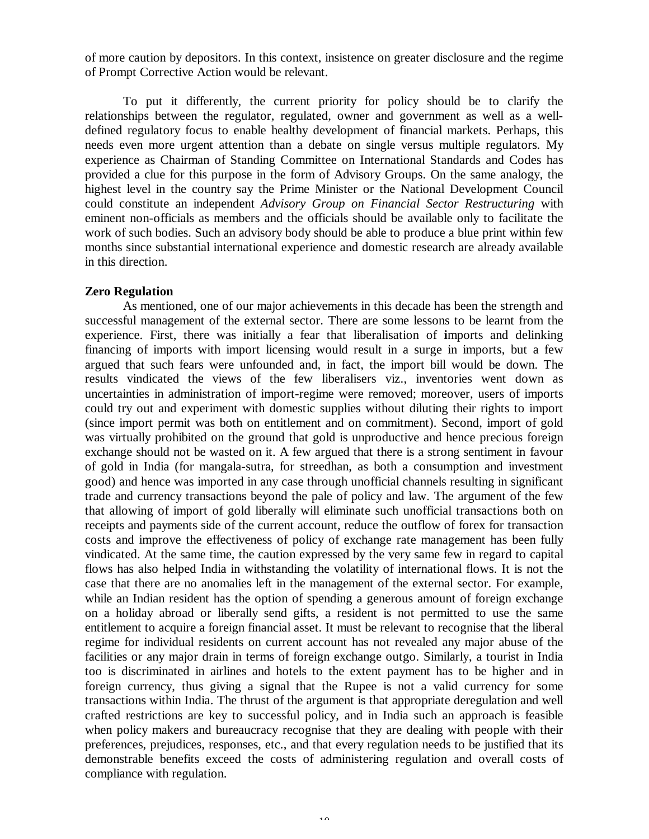of more caution by depositors. In this context, insistence on greater disclosure and the regime of Prompt Corrective Action would be relevant.

To put it differently, the current priority for policy should be to clarify the relationships between the regulator, regulated, owner and government as well as a welldefined regulatory focus to enable healthy development of financial markets. Perhaps, this needs even more urgent attention than a debate on single versus multiple regulators. My experience as Chairman of Standing Committee on International Standards and Codes has provided a clue for this purpose in the form of Advisory Groups. On the same analogy, the highest level in the country say the Prime Minister or the National Development Council could constitute an independent *Advisory Group on Financial Sector Restructuring* with eminent non-officials as members and the officials should be available only to facilitate the work of such bodies. Such an advisory body should be able to produce a blue print within few months since substantial international experience and domestic research are already available in this direction.

# **Zero Regulation**

As mentioned, one of our major achievements in this decade has been the strength and successful management of the external sector. There are some lessons to be learnt from the experience. First, there was initially a fear that liberalisation of **i**mports and delinking financing of imports with import licensing would result in a surge in imports, but a few argued that such fears were unfounded and, in fact, the import bill would be down. The results vindicated the views of the few liberalisers viz., inventories went down as uncertainties in administration of import-regime were removed; moreover, users of imports could try out and experiment with domestic supplies without diluting their rights to import (since import permit was both on entitlement and on commitment). Second, import of gold was virtually prohibited on the ground that gold is unproductive and hence precious foreign exchange should not be wasted on it. A few argued that there is a strong sentiment in favour of gold in India (for mangala-sutra, for streedhan, as both a consumption and investment good) and hence was imported in any case through unofficial channels resulting in significant trade and currency transactions beyond the pale of policy and law. The argument of the few that allowing of import of gold liberally will eliminate such unofficial transactions both on receipts and payments side of the current account, reduce the outflow of forex for transaction costs and improve the effectiveness of policy of exchange rate management has been fully vindicated. At the same time, the caution expressed by the very same few in regard to capital flows has also helped India in withstanding the volatility of international flows. It is not the case that there are no anomalies left in the management of the external sector. For example, while an Indian resident has the option of spending a generous amount of foreign exchange on a holiday abroad or liberally send gifts, a resident is not permitted to use the same entitlement to acquire a foreign financial asset. It must be relevant to recognise that the liberal regime for individual residents on current account has not revealed any major abuse of the facilities or any major drain in terms of foreign exchange outgo. Similarly, a tourist in India too is discriminated in airlines and hotels to the extent payment has to be higher and in foreign currency, thus giving a signal that the Rupee is not a valid currency for some transactions within India. The thrust of the argument is that appropriate deregulation and well crafted restrictions are key to successful policy, and in India such an approach is feasible when policy makers and bureaucracy recognise that they are dealing with people with their preferences, prejudices, responses, etc., and that every regulation needs to be justified that its demonstrable benefits exceed the costs of administering regulation and overall costs of compliance with regulation.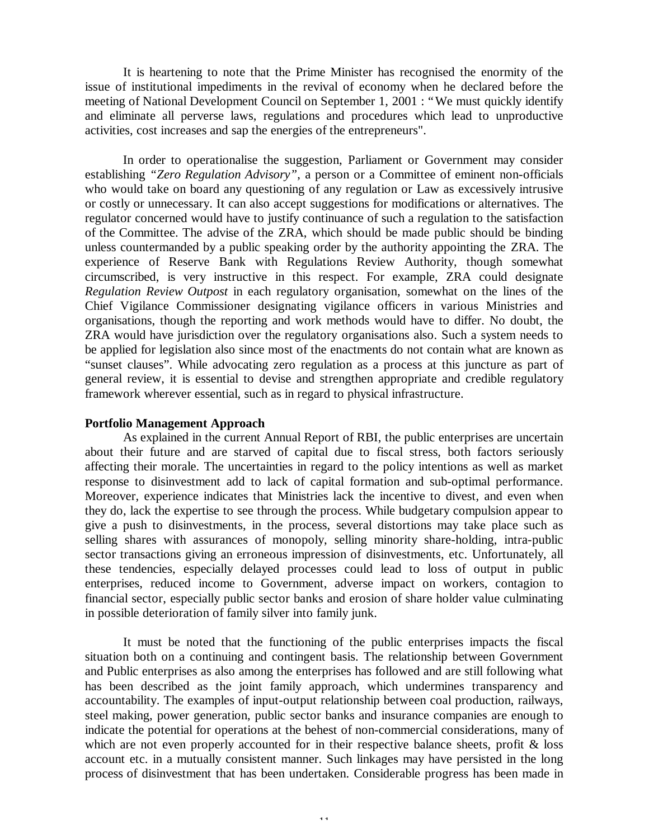It is heartening to note that the Prime Minister has recognised the enormity of the issue of institutional impediments in the revival of economy when he declared before the meeting of National Development Council on September 1, 2001 : "We must quickly identify and eliminate all perverse laws, regulations and procedures which lead to unproductive activities, cost increases and sap the energies of the entrepreneurs".

In order to operationalise the suggestion, Parliament or Government may consider establishing *"Zero Regulation Advisory"*, a person or a Committee of eminent non-officials who would take on board any questioning of any regulation or Law as excessively intrusive or costly or unnecessary. It can also accept suggestions for modifications or alternatives. The regulator concerned would have to justify continuance of such a regulation to the satisfaction of the Committee. The advise of the ZRA, which should be made public should be binding unless countermanded by a public speaking order by the authority appointing the ZRA. The experience of Reserve Bank with Regulations Review Authority, though somewhat circumscribed, is very instructive in this respect. For example, ZRA could designate *Regulation Review Outpost* in each regulatory organisation, somewhat on the lines of the Chief Vigilance Commissioner designating vigilance officers in various Ministries and organisations, though the reporting and work methods would have to differ. No doubt, the ZRA would have jurisdiction over the regulatory organisations also. Such a system needs to be applied for legislation also since most of the enactments do not contain what are known as "sunset clauses". While advocating zero regulation as a process at this juncture as part of general review, it is essential to devise and strengthen appropriate and credible regulatory framework wherever essential, such as in regard to physical infrastructure.

### **Portfolio Management Approach**

As explained in the current Annual Report of RBI, the public enterprises are uncertain about their future and are starved of capital due to fiscal stress, both factors seriously affecting their morale. The uncertainties in regard to the policy intentions as well as market response to disinvestment add to lack of capital formation and sub-optimal performance. Moreover, experience indicates that Ministries lack the incentive to divest, and even when they do, lack the expertise to see through the process. While budgetary compulsion appear to give a push to disinvestments, in the process, several distortions may take place such as selling shares with assurances of monopoly, selling minority share-holding, intra-public sector transactions giving an erroneous impression of disinvestments, etc. Unfortunately, all these tendencies, especially delayed processes could lead to loss of output in public enterprises, reduced income to Government, adverse impact on workers, contagion to financial sector, especially public sector banks and erosion of share holder value culminating in possible deterioration of family silver into family junk.

It must be noted that the functioning of the public enterprises impacts the fiscal situation both on a continuing and contingent basis. The relationship between Government and Public enterprises as also among the enterprises has followed and are still following what has been described as the joint family approach, which undermines transparency and accountability. The examples of input-output relationship between coal production, railways, steel making, power generation, public sector banks and insurance companies are enough to indicate the potential for operations at the behest of non-commercial considerations, many of which are not even properly accounted for in their respective balance sheets, profit  $\&$  loss account etc. in a mutually consistent manner. Such linkages may have persisted in the long process of disinvestment that has been undertaken. Considerable progress has been made in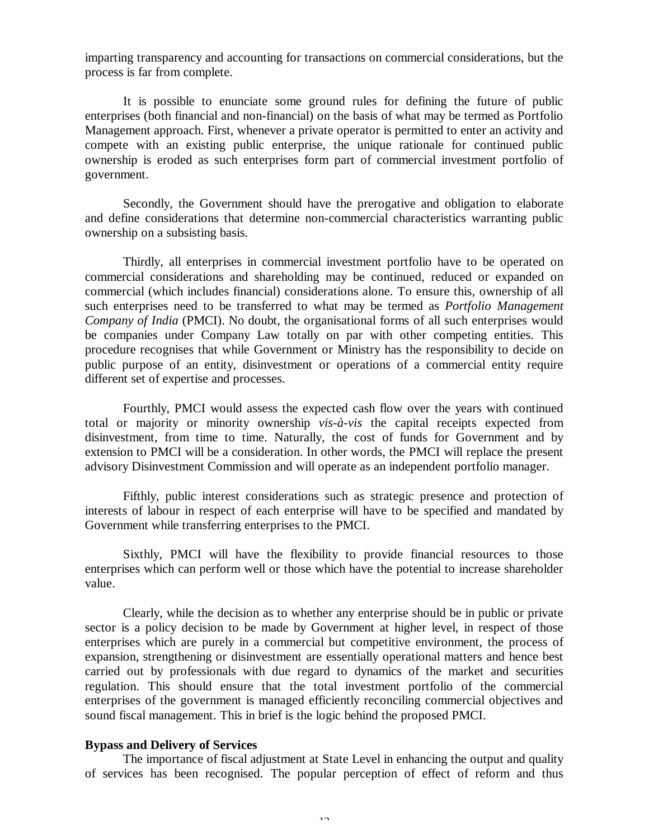imparting transparency and accounting for transactions on commercial considerations, but the process is far from complete.

It is possible to enunciate some ground rules for defining the future of public enterprises (both financial and non-financial) on the basis of what may be termed as Portfolio Management approach. First, whenever a private operator is permitted to enter an activity and compete with an existing public enterprise, the unique rationale for continued public ownership is eroded as such enterprises form part of commercial investment portfolio of government.

Secondly, the Government should have the prerogative and obligation to elaborate and define considerations that determine non-commercial characteristics warranting public ownership on a subsisting basis.

Thirdly, all enterprises in commercial investment portfolio have to be operated on commercial considerations and shareholding may be continued, reduced or expanded on commercial (which includes financial) considerations alone. To ensure this, ownership of all such enterprises need to be transferred to what may be termed as *Portfolio Management Company of India* (PMCI). No doubt, the organisational forms of all such enterprises would be companies under Company Law totally on par with other competing entities. This procedure recognises that while Government or Ministry has the responsibility to decide on public purpose of an entity, disinvestment or operations of a commercial entity require different set of expertise and processes.

Fourthly, PMCI would assess the expected cash flow over the years with continued total or majority or minority ownership *vis-à-vis* the capital receipts expected from disinvestment, from time to time. Naturally, the cost of funds for Government and by extension to PMCI will be a consideration. In other words, the PMCI will replace the present advisory Disinvestment Commission and will operate as an independent portfolio manager.

Fifthly, public interest considerations such as strategic presence and protection of interests of labour in respect of each enterprise will have to be specified and mandated by Government while transferring enterprises to the PMCI.

Sixthly, PMCI will have the flexibility to provide financial resources to those enterprises which can perform well or those which have the potential to increase shareholder value.

Clearly, while the decision as to whether any enterprise should be in public or private sector is a policy decision to be made by Government at higher level, in respect of those enterprises which are purely in a commercial but competitive environment, the process of expansion, strengthening or disinvestment are essentially operational matters and hence best carried out by professionals with due regard to dynamics of the market and securities regulation. This should ensure that the total investment portfolio of the commercial enterprises of the government is managed efficiently reconciling commercial objectives and sound fiscal management. This in brief is the logic behind the proposed PMCI.

# **Bypass and Delivery of Services**

The importance of fiscal adjustment at State Level in enhancing the output and quality of services has been recognised. The popular perception of effect of reform and thus